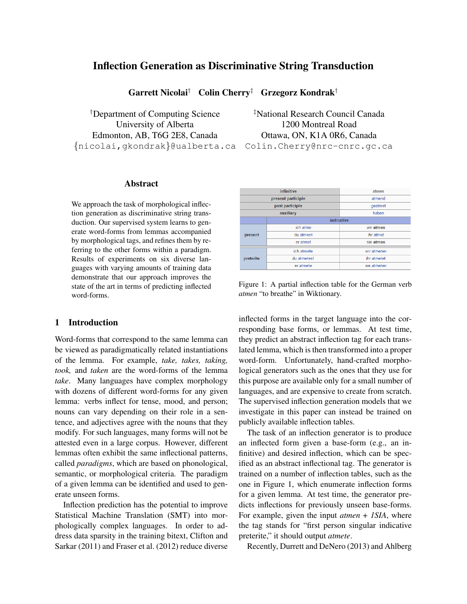# Inflection Generation as Discriminative String Transduction

Garrett Nicolai† Colin Cherry‡ Grzegorz Kondrak†

†Department of Computing Science ‡National Research Council Canada University of Alberta 1200 Montreal Road Edmonton, AB, T6G 2E8, Canada Ottawa, ON, K1A 0R6, Canada {nicolai,gkondrak}@ualberta.ca Colin.Cherry@nrc-cnrc.gc.ca

## Abstract

We approach the task of morphological inflection generation as discriminative string transduction. Our supervised system learns to generate word-forms from lemmas accompanied by morphological tags, and refines them by referring to the other forms within a paradigm. Results of experiments on six diverse languages with varying amounts of training data demonstrate that our approach improves the state of the art in terms of predicting inflected word-forms.

## 1 Introduction

Word-forms that correspond to the same lemma can be viewed as paradigmatically related instantiations of the lemma. For example, *take, takes, taking, took,* and *taken* are the word-forms of the lemma *take*. Many languages have complex morphology with dozens of different word-forms for any given lemma: verbs inflect for tense, mood, and person; nouns can vary depending on their role in a sentence, and adjectives agree with the nouns that they modify. For such languages, many forms will not be attested even in a large corpus. However, different lemmas often exhibit the same inflectional patterns, called *paradigms*, which are based on phonological, semantic, or morphological criteria. The paradigm of a given lemma can be identified and used to generate unseen forms.

Inflection prediction has the potential to improve Statistical Machine Translation (SMT) into morphologically complex languages. In order to address data sparsity in the training bitext, Clifton and Sarkar (2011) and Fraser et al. (2012) reduce diverse

| infinitive         |                 | atmen       |
|--------------------|-----------------|-------------|
| present participle |                 | atmend      |
|                    | past participle | qeatmet     |
| auxiliary          |                 | haben       |
|                    | indicative      |             |
|                    | ich atme        | wir atmen   |
| present            | du atmest       | ihr atmet   |
|                    | er atmet        | sie atmen   |
|                    | ich atmete      | wir atmeten |
| preterite          | du atmetest     | ihr atmetet |
|                    | er atmete       | sie atmeten |

Figure 1: A partial inflection table for the German verb *atmen* "to breathe" in Wiktionary.

inflected forms in the target language into the corresponding base forms, or lemmas. At test time, they predict an abstract inflection tag for each translated lemma, which is then transformed into a proper word-form. Unfortunately, hand-crafted morphological generators such as the ones that they use for this purpose are available only for a small number of languages, and are expensive to create from scratch. The supervised inflection generation models that we investigate in this paper can instead be trained on publicly available inflection tables.

The task of an inflection generator is to produce an inflected form given a base-form (e.g., an infinitive) and desired inflection, which can be specified as an abstract inflectional tag. The generator is trained on a number of inflection tables, such as the one in Figure 1, which enumerate inflection forms for a given lemma. At test time, the generator predicts inflections for previously unseen base-forms. For example, given the input *atmen* + *1SIA*, where the tag stands for "first person singular indicative preterite," it should output *atmete*.

Recently, Durrett and DeNero (2013) and Ahlberg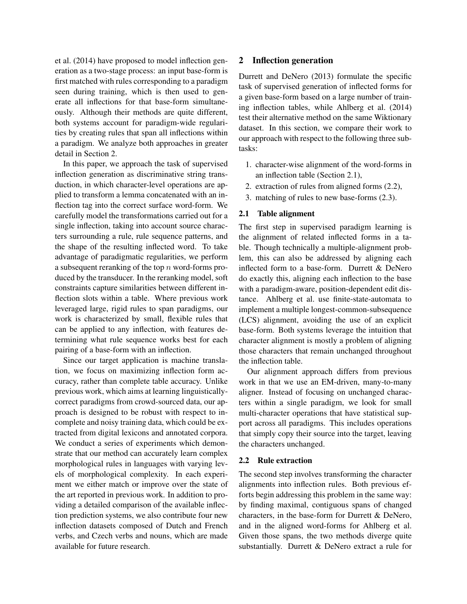et al. (2014) have proposed to model inflection generation as a two-stage process: an input base-form is first matched with rules corresponding to a paradigm seen during training, which is then used to generate all inflections for that base-form simultaneously. Although their methods are quite different, both systems account for paradigm-wide regularities by creating rules that span all inflections within a paradigm. We analyze both approaches in greater detail in Section 2.

In this paper, we approach the task of supervised inflection generation as discriminative string transduction, in which character-level operations are applied to transform a lemma concatenated with an inflection tag into the correct surface word-form. We carefully model the transformations carried out for a single inflection, taking into account source characters surrounding a rule, rule sequence patterns, and the shape of the resulting inflected word. To take advantage of paradigmatic regularities, we perform a subsequent reranking of the top  $n$  word-forms produced by the transducer. In the reranking model, soft constraints capture similarities between different inflection slots within a table. Where previous work leveraged large, rigid rules to span paradigms, our work is characterized by small, flexible rules that can be applied to any inflection, with features determining what rule sequence works best for each pairing of a base-form with an inflection.

Since our target application is machine translation, we focus on maximizing inflection form accuracy, rather than complete table accuracy. Unlike previous work, which aims at learning linguisticallycorrect paradigms from crowd-sourced data, our approach is designed to be robust with respect to incomplete and noisy training data, which could be extracted from digital lexicons and annotated corpora. We conduct a series of experiments which demonstrate that our method can accurately learn complex morphological rules in languages with varying levels of morphological complexity. In each experiment we either match or improve over the state of the art reported in previous work. In addition to providing a detailed comparison of the available inflection prediction systems, we also contribute four new inflection datasets composed of Dutch and French verbs, and Czech verbs and nouns, which are made available for future research.

## 2 Inflection generation

Durrett and DeNero (2013) formulate the specific task of supervised generation of inflected forms for a given base-form based on a large number of training inflection tables, while Ahlberg et al. (2014) test their alternative method on the same Wiktionary dataset. In this section, we compare their work to our approach with respect to the following three subtasks:

- 1. character-wise alignment of the word-forms in an inflection table (Section 2.1),
- 2. extraction of rules from aligned forms (2.2),
- 3. matching of rules to new base-forms (2.3).

### 2.1 Table alignment

The first step in supervised paradigm learning is the alignment of related inflected forms in a table. Though technically a multiple-alignment problem, this can also be addressed by aligning each inflected form to a base-form. Durrett & DeNero do exactly this, aligning each inflection to the base with a paradigm-aware, position-dependent edit distance. Ahlberg et al. use finite-state-automata to implement a multiple longest-common-subsequence (LCS) alignment, avoiding the use of an explicit base-form. Both systems leverage the intuition that character alignment is mostly a problem of aligning those characters that remain unchanged throughout the inflection table.

Our alignment approach differs from previous work in that we use an EM-driven, many-to-many aligner. Instead of focusing on unchanged characters within a single paradigm, we look for small multi-character operations that have statistical support across all paradigms. This includes operations that simply copy their source into the target, leaving the characters unchanged.

## 2.2 Rule extraction

The second step involves transforming the character alignments into inflection rules. Both previous efforts begin addressing this problem in the same way: by finding maximal, contiguous spans of changed characters, in the base-form for Durrett & DeNero, and in the aligned word-forms for Ahlberg et al. Given those spans, the two methods diverge quite substantially. Durrett & DeNero extract a rule for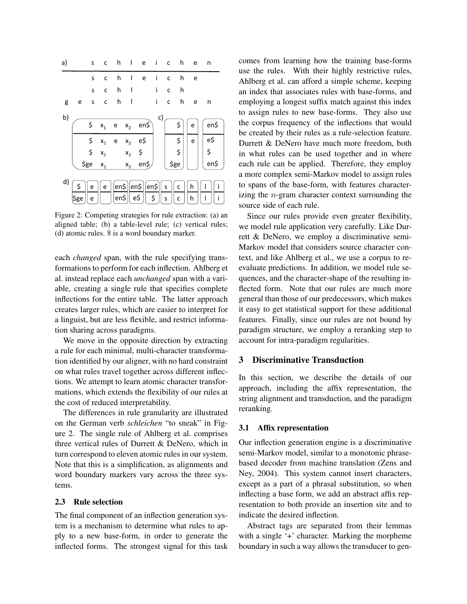| a) |                                                                                                                                                                                              |   |                         |   |              | schleiche             |              |              |         |     | n    |
|----|----------------------------------------------------------------------------------------------------------------------------------------------------------------------------------------------|---|-------------------------|---|--------------|-----------------------|--------------|--------------|---------|-----|------|
|    |                                                                                                                                                                                              | S | C                       | h | $\mathbf{I}$ | e                     | -i           | C            | h       | e e |      |
|    |                                                                                                                                                                                              | S | $\mathsf{C}$            |   | $h$          |                       | i.           | $\mathsf{C}$ | h       |     |      |
| g  | e                                                                                                                                                                                            | S | $\overline{\mathbf{C}}$ |   | $h$          |                       | $\mathbf{I}$ | $\mathsf{C}$ | h       | e   | n    |
| b) |                                                                                                                                                                                              |   |                         |   |              |                       | c)           |              |         |     |      |
|    |                                                                                                                                                                                              |   |                         |   |              | \$ $x_1$ e $x_2$ en\$ |              |              | \$      | e   | en\$ |
|    |                                                                                                                                                                                              |   | $\zeta$ $x_1$ e         |   |              | $x_2$ e\$             |              |              | \$      | e   | e\$  |
|    |                                                                                                                                                                                              |   | $\zeta$ $x_1$           |   |              | $x_2$ \$              |              |              | $\zeta$ |     | \$   |
|    |                                                                                                                                                                                              |   |                         |   |              |                       |              |              |         |     | en\$ |
| d) | $x_2$ en\$<br>\$ge<br>$\zeta$ ge $x_1$<br>$  $ e $  $ en\$ $  $ en\$ $  $ en\$ $  $ s $  $ c $  $ h $  $<br>∥ e i<br>Ħ<br>$ en$$   e\$   <br>ا \$_ا<br> s <br>$\mathsf{C}$<br>\$ge<br>h<br>e |   |                         |   |              |                       |              |              |         |     |      |

Figure 2: Competing strategies for rule extraction: (a) an aligned table; (b) a table-level rule; (c) vertical rules; (d) atomic rules. \$ is a word boundary marker.

each *changed* span, with the rule specifying transformations to perform for each inflection. Ahlberg et al. instead replace each *unchanged* span with a variable, creating a single rule that specifies complete inflections for the entire table. The latter approach creates larger rules, which are easier to interpret for a linguist, but are less flexible, and restrict information sharing across paradigms.

We move in the opposite direction by extracting a rule for each minimal, multi-character transformation identified by our aligner, with no hard constraint on what rules travel together across different inflections. We attempt to learn atomic character transformations, which extends the flexibility of our rules at the cost of reduced interpretability.

The differences in rule granularity are illustrated on the German verb *schleichen* "to sneak" in Figure 2. The single rule of Ahlberg et al. comprises three vertical rules of Durrett & DeNero, which in turn correspond to eleven atomic rules in our system. Note that this is a simplification, as alignments and word boundary markers vary across the three systems.

### 2.3 Rule selection

The final component of an inflection generation system is a mechanism to determine what rules to apply to a new base-form, in order to generate the inflected forms. The strongest signal for this task comes from learning how the training base-forms use the rules. With their highly restrictive rules, Ahlberg et al. can afford a simple scheme, keeping an index that associates rules with base-forms, and employing a longest suffix match against this index to assign rules to new base-forms. They also use the corpus frequency of the inflections that would be created by their rules as a rule-selection feature. Durrett & DeNero have much more freedom, both in what rules can be used together and in where each rule can be applied. Therefore, they employ a more complex semi-Markov model to assign rules to spans of the base-form, with features characterizing the  $n$ -gram character context surrounding the source side of each rule.

Since our rules provide even greater flexibility, we model rule application very carefully. Like Durrett & DeNero, we employ a discriminative semi-Markov model that considers source character context, and like Ahlberg et al., we use a corpus to reevaluate predictions. In addition, we model rule sequences, and the character-shape of the resulting inflected form. Note that our rules are much more general than those of our predecessors, which makes it easy to get statistical support for these additional features. Finally, since our rules are not bound by paradigm structure, we employ a reranking step to account for intra-paradigm regularities.

## 3 Discriminative Transduction

In this section, we describe the details of our approach, including the affix representation, the string alignment and transduction, and the paradigm reranking.

#### 3.1 Affix representation

Our inflection generation engine is a discriminative semi-Markov model, similar to a monotonic phrasebased decoder from machine translation (Zens and Ney, 2004). This system cannot insert characters, except as a part of a phrasal substitution, so when inflecting a base form, we add an abstract affix representation to both provide an insertion site and to indicate the desired inflection.

Abstract tags are separated from their lemmas with a single '+' character. Marking the morpheme boundary in such a way allows the transducer to gen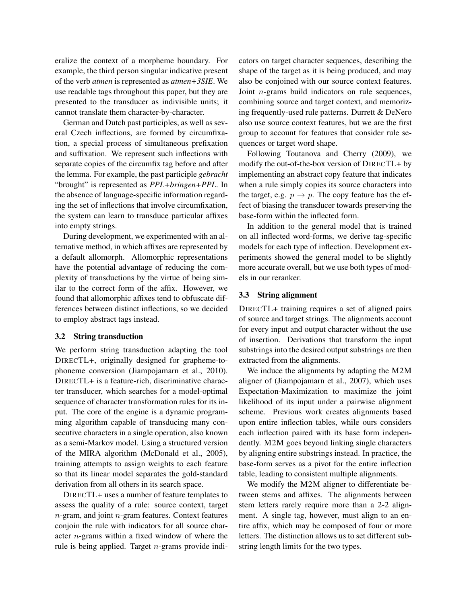eralize the context of a morpheme boundary. For example, the third person singular indicative present of the verb *atmen* is represented as *atmen+3SIE*. We use readable tags throughout this paper, but they are presented to the transducer as indivisible units; it cannot translate them character-by-character.

German and Dutch past participles, as well as several Czech inflections, are formed by circumfixation, a special process of simultaneous prefixation and suffixation. We represent such inflections with separate copies of the circumfix tag before and after the lemma. For example, the past participle *gebracht* "brought" is represented as *PPL+bringen+PPL*. In the absence of language-specific information regarding the set of inflections that involve circumfixation, the system can learn to transduce particular affixes into empty strings.

During development, we experimented with an alternative method, in which affixes are represented by a default allomorph. Allomorphic representations have the potential advantage of reducing the complexity of transductions by the virtue of being similar to the correct form of the affix. However, we found that allomorphic affixes tend to obfuscate differences between distinct inflections, so we decided to employ abstract tags instead.

#### 3.2 String transduction

We perform string transduction adapting the tool DIRECTL+, originally designed for grapheme-tophoneme conversion (Jiampojamarn et al., 2010). DIRECTL+ is a feature-rich, discriminative character transducer, which searches for a model-optimal sequence of character transformation rules for its input. The core of the engine is a dynamic programming algorithm capable of transducing many consecutive characters in a single operation, also known as a semi-Markov model. Using a structured version of the MIRA algorithm (McDonald et al., 2005), training attempts to assign weights to each feature so that its linear model separates the gold-standard derivation from all others in its search space.

DIRECTL+ uses a number of feature templates to assess the quality of a rule: source context, target  $n$ -gram, and joint  $n$ -gram features. Context features conjoin the rule with indicators for all source character n-grams within a fixed window of where the rule is being applied. Target  $n$ -grams provide indicators on target character sequences, describing the shape of the target as it is being produced, and may also be conjoined with our source context features. Joint n-grams build indicators on rule sequences, combining source and target context, and memorizing frequently-used rule patterns. Durrett & DeNero also use source context features, but we are the first group to account for features that consider rule sequences or target word shape.

Following Toutanova and Cherry (2009), we modify the out-of-the-box version of DIRECTL+ by implementing an abstract copy feature that indicates when a rule simply copies its source characters into the target, e.g.  $p \rightarrow p$ . The copy feature has the effect of biasing the transducer towards preserving the base-form within the inflected form.

In addition to the general model that is trained on all inflected word-forms, we derive tag-specific models for each type of inflection. Development experiments showed the general model to be slightly more accurate overall, but we use both types of models in our reranker.

## 3.3 String alignment

DIRECTL+ training requires a set of aligned pairs of source and target strings. The alignments account for every input and output character without the use of insertion. Derivations that transform the input substrings into the desired output substrings are then extracted from the alignments.

We induce the alignments by adapting the M2M aligner of (Jiampojamarn et al., 2007), which uses Expectation-Maximization to maximize the joint likelihood of its input under a pairwise alignment scheme. Previous work creates alignments based upon entire inflection tables, while ours considers each inflection paired with its base form independently. M2M goes beyond linking single characters by aligning entire substrings instead. In practice, the base-form serves as a pivot for the entire inflection table, leading to consistent multiple alignments.

We modify the M2M aligner to differentiate between stems and affixes. The alignments between stem letters rarely require more than a 2-2 alignment. A single tag, however, must align to an entire affix, which may be composed of four or more letters. The distinction allows us to set different substring length limits for the two types.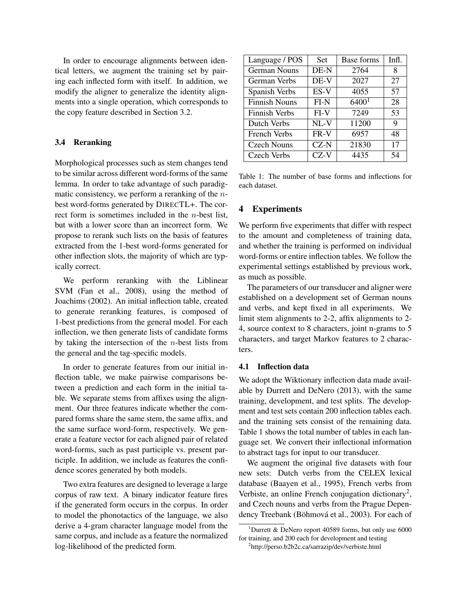In order to encourage alignments between identical letters, we augment the training set by pairing each inflected form with itself. In addition, we modify the aligner to generalize the identity alignments into a single operation, which corresponds to the copy feature described in Section 3.2.

## 3.4 Reranking

Morphological processes such as stem changes tend to be similar across different word-forms of the same lemma. In order to take advantage of such paradigmatic consistency, we perform a reranking of the nbest word-forms generated by DIRECTL+. The correct form is sometimes included in the n-best list, but with a lower score than an incorrect form. We propose to rerank such lists on the basis of features extracted from the 1-best word-forms generated for other inflection slots, the majority of which are typically correct.

We perform reranking with the Liblinear SVM (Fan et al., 2008), using the method of Joachims (2002). An initial inflection table, created to generate reranking features, is composed of 1-best predictions from the general model. For each inflection, we then generate lists of candidate forms by taking the intersection of the  $n$ -best lists from the general and the tag-specific models.

In order to generate features from our initial inflection table, we make pairwise comparisons between a prediction and each form in the initial table. We separate stems from affixes using the alignment. Our three features indicate whether the compared forms share the same stem, the same affix, and the same surface word-form, respectively. We generate a feature vector for each aligned pair of related word-forms, such as past participle vs. present participle. In addition, we include as features the confidence scores generated by both models.

Two extra features are designed to leverage a large corpus of raw text. A binary indicator feature fires if the generated form occurs in the corpus. In order to model the phonotactics of the language, we also derive a 4-gram character language model from the same corpus, and include as a feature the normalized log-likelihood of the predicted form.

| Language / POS       | <b>Set</b> | Base forms        | Infl. |
|----------------------|------------|-------------------|-------|
| German Nouns         | DE-N       | 2764              | 8     |
| German Verbs         | DE-V       | 2027              | 27    |
| Spanish Verbs        | ES-V       | 4055              | 57    |
| <b>Finnish Nouns</b> | $FI-N$     | 6400 <sup>1</sup> | 28    |
| Finnish Verbs        | $FI-V$     | 7249              | 53    |
| Dutch Verbs          | NL-V       | 11200             | 9     |
| French Verbs         | FR-V       | 6957              | 48    |
| <b>Czech Nouns</b>   | $CZ-N$     | 21830             | 17    |
| Czech Verbs          | $CZ-V$     | 4435              | 54    |

Table 1: The number of base forms and inflections for each dataset.

## 4 Experiments

We perform five experiments that differ with respect to the amount and completeness of training data, and whether the training is performed on individual word-forms or entire inflection tables. We follow the experimental settings established by previous work, as much as possible.

The parameters of our transducer and aligner were established on a development set of German nouns and verbs, and kept fixed in all experiments. We limit stem alignments to 2-2, affix alignments to 2- 4, source context to 8 characters, joint n-grams to 5 characters, and target Markov features to 2 characters.

#### 4.1 Inflection data

We adopt the Wiktionary inflection data made available by Durrett and DeNero (2013), with the same training, development, and test splits. The development and test sets contain 200 inflection tables each. and the training sets consist of the remaining data. Table 1 shows the total number of tables in each language set. We convert their inflectional information to abstract tags for input to our transducer.

We augment the original five datasets with four new sets: Dutch verbs from the CELEX lexical database (Baayen et al., 1995), French verbs from Verbiste, an online French conjugation dictionary<sup>2</sup>, and Czech nouns and verbs from the Prague Dependency Treebank (Böhmová et al., 2003). For each of

<sup>&</sup>lt;sup>1</sup>Durrett & DeNero report 40589 forms, but only use 6000 for training, and 200 each for development and testing 2 http://perso.b2b2c.ca/sarrazip/dev/verbiste.html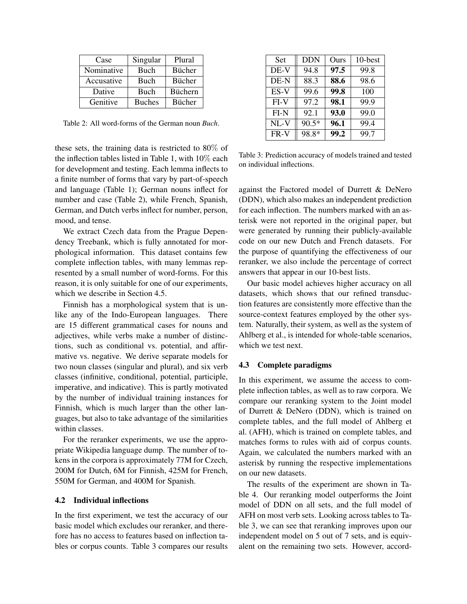| Case       | Singular      | Plural         |
|------------|---------------|----------------|
| Nominative | Buch          | <b>Bücher</b>  |
| Accusative | Buch          | Bücher         |
| Dative     | Buch          | <b>Büchern</b> |
| Genitive   | <b>Buches</b> | <b>Bücher</b>  |

Table 2: All word-forms of the German noun *Buch*.

these sets, the training data is restricted to 80% of the inflection tables listed in Table 1, with 10% each for development and testing. Each lemma inflects to a finite number of forms that vary by part-of-speech and language (Table 1); German nouns inflect for number and case (Table 2), while French, Spanish, German, and Dutch verbs inflect for number, person, mood, and tense.

We extract Czech data from the Prague Dependency Treebank, which is fully annotated for morphological information. This dataset contains few complete inflection tables, with many lemmas represented by a small number of word-forms. For this reason, it is only suitable for one of our experiments, which we describe in Section 4.5.

Finnish has a morphological system that is unlike any of the Indo-European languages. There are 15 different grammatical cases for nouns and adjectives, while verbs make a number of distinctions, such as conditional vs. potential, and affirmative vs. negative. We derive separate models for two noun classes (singular and plural), and six verb classes (infinitive, conditional, potential, participle, imperative, and indicative). This is partly motivated by the number of individual training instances for Finnish, which is much larger than the other languages, but also to take advantage of the similarities within classes.

For the reranker experiments, we use the appropriate Wikipedia language dump. The number of tokens in the corpora is approximately 77M for Czech, 200M for Dutch, 6M for Finnish, 425M for French, 550M for German, and 400M for Spanish.

### 4.2 Individual inflections

In the first experiment, we test the accuracy of our basic model which excludes our reranker, and therefore has no access to features based on inflection tables or corpus counts. Table 3 compares our results

| Set    | DDN     | Ours | 10-best |
|--------|---------|------|---------|
| DE-V   | 94.8    | 97.5 | 99.8    |
| DE-N   | 88.3    | 88.6 | 98.6    |
| ES-V   | 99.6    | 99.8 | 100     |
| $FI-V$ | 97.2    | 98.1 | 99.9    |
| FI-N   | 92.1    | 93.0 | 99.0    |
| NL-V   | $90.5*$ | 96.1 | 99.4    |
| FR-V   | 98.8*   | 99.2 | 99.7    |

Table 3: Prediction accuracy of models trained and tested on individual inflections.

against the Factored model of Durrett & DeNero (DDN), which also makes an independent prediction for each inflection. The numbers marked with an asterisk were not reported in the original paper, but were generated by running their publicly-available code on our new Dutch and French datasets. For the purpose of quantifying the effectiveness of our reranker, we also include the percentage of correct answers that appear in our 10-best lists.

Our basic model achieves higher accuracy on all datasets, which shows that our refined transduction features are consistently more effective than the source-context features employed by the other system. Naturally, their system, as well as the system of Ahlberg et al., is intended for whole-table scenarios, which we test next.

## 4.3 Complete paradigms

In this experiment, we assume the access to complete inflection tables, as well as to raw corpora. We compare our reranking system to the Joint model of Durrett & DeNero (DDN), which is trained on complete tables, and the full model of Ahlberg et al. (AFH), which is trained on complete tables, and matches forms to rules with aid of corpus counts. Again, we calculated the numbers marked with an asterisk by running the respective implementations on our new datasets.

The results of the experiment are shown in Table 4. Our reranking model outperforms the Joint model of DDN on all sets, and the full model of AFH on most verb sets. Looking across tables to Table 3, we can see that reranking improves upon our independent model on 5 out of 7 sets, and is equivalent on the remaining two sets. However, accord-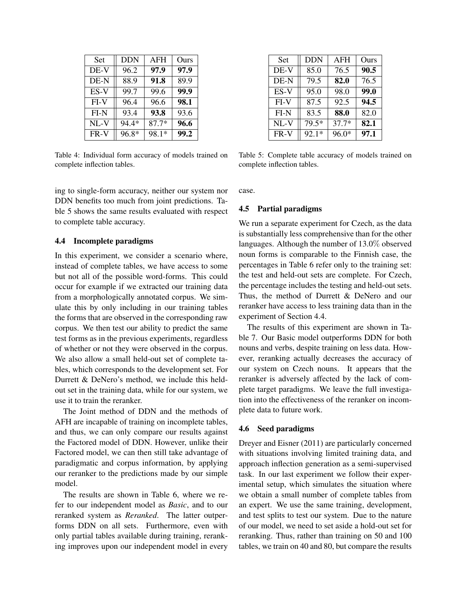| Set    | <b>DDN</b> | AFH     | Ours |
|--------|------------|---------|------|
| DE-V   | 96.2       | 97.9    | 97.9 |
| DE-N   | 88.9       | 91.8    | 89.9 |
| ES-V   | 99.7       | 99.6    | 99.9 |
| $FI-V$ | 96.4       | 96.6    | 98.1 |
| $FI-N$ | 93.4       | 93.8    | 93.6 |
| $NL-V$ | 94.4*      | $87.7*$ | 96.6 |
| FR-V   | 96.8*      | 98.1*   | 99.2 |

Table 4: Individual form accuracy of models trained on complete inflection tables.

ing to single-form accuracy, neither our system nor DDN benefits too much from joint predictions. Table 5 shows the same results evaluated with respect to complete table accuracy.

### 4.4 Incomplete paradigms

In this experiment, we consider a scenario where, instead of complete tables, we have access to some but not all of the possible word-forms. This could occur for example if we extracted our training data from a morphologically annotated corpus. We simulate this by only including in our training tables the forms that are observed in the corresponding raw corpus. We then test our ability to predict the same test forms as in the previous experiments, regardless of whether or not they were observed in the corpus. We also allow a small held-out set of complete tables, which corresponds to the development set. For Durrett & DeNero's method, we include this heldout set in the training data, while for our system, we use it to train the reranker.

The Joint method of DDN and the methods of AFH are incapable of training on incomplete tables, and thus, we can only compare our results against the Factored model of DDN. However, unlike their Factored model, we can then still take advantage of paradigmatic and corpus information, by applying our reranker to the predictions made by our simple model.

The results are shown in Table 6, where we refer to our independent model as *Basic*, and to our reranked system as *Reranked*. The latter outperforms DDN on all sets. Furthermore, even with only partial tables available during training, reranking improves upon our independent model in every

| Set    | <b>DDN</b> | AFH     | Ours |
|--------|------------|---------|------|
| DE-V   | 85.0       | 76.5    | 90.5 |
| DE-N   | 79.5       | 82.0    | 76.5 |
| ES-V   | 95.0       | 98.0    | 99.0 |
| $FI-V$ | 87.5       | 92.5    | 94.5 |
| $FI-N$ | 83.5       | 88.0    | 82.0 |
| $NL-V$ | 79.5*      | $37.7*$ | 82.1 |
| FR-V   | $92.1*$    | 96.0*   | 97.1 |

Table 5: Complete table accuracy of models trained on complete inflection tables.

case.

### 4.5 Partial paradigms

We run a separate experiment for Czech, as the data is substantially less comprehensive than for the other languages. Although the number of 13.0% observed noun forms is comparable to the Finnish case, the percentages in Table 6 refer only to the training set: the test and held-out sets are complete. For Czech, the percentage includes the testing and held-out sets. Thus, the method of Durrett & DeNero and our reranker have access to less training data than in the experiment of Section 4.4.

The results of this experiment are shown in Table 7. Our Basic model outperforms DDN for both nouns and verbs, despite training on less data. However, reranking actually decreases the accuracy of our system on Czech nouns. It appears that the reranker is adversely affected by the lack of complete target paradigms. We leave the full investigation into the effectiveness of the reranker on incomplete data to future work.

#### 4.6 Seed paradigms

Dreyer and Eisner (2011) are particularly concerned with situations involving limited training data, and approach inflection generation as a semi-supervised task. In our last experiment we follow their experimental setup, which simulates the situation where we obtain a small number of complete tables from an expert. We use the same training, development, and test splits to test our system. Due to the nature of our model, we need to set aside a hold-out set for reranking. Thus, rather than training on 50 and 100 tables, we train on 40 and 80, but compare the results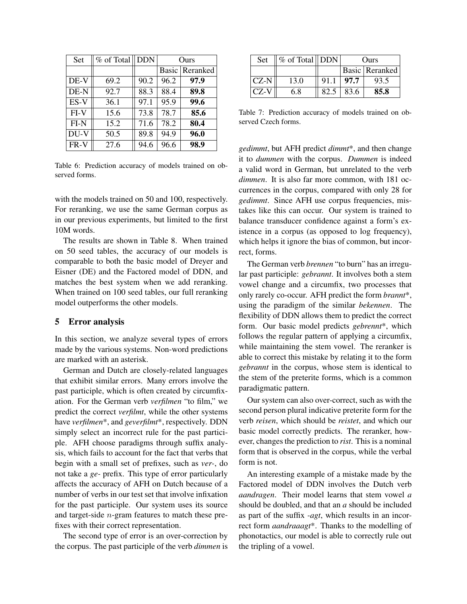| Set    | % of Total | <b>DDN</b> | Ours  |          |  |
|--------|------------|------------|-------|----------|--|
|        |            |            | Basic | Reranked |  |
| DE-V   | 69.2       | 90.2       | 96.2  | 97.9     |  |
| DE-N   | 92.7       | 88.3       | 88.4  | 89.8     |  |
| $ES-V$ | 36.1       | 97.1       | 95.9  | 99.6     |  |
| $FI-V$ | 15.6       | 73.8       | 78.7  | 85.6     |  |
| $FI-N$ | 15.2       | 71.6       | 78.2  | 80.4     |  |
| DU-V   | 50.5       | 89.8       | 94.9  | 96.0     |  |
| FR-V   | 27.6       | 94.6       | 96.6  | 98.9     |  |

Table 6: Prediction accuracy of models trained on observed forms.

with the models trained on 50 and 100, respectively. For reranking, we use the same German corpus as in our previous experiments, but limited to the first 10M words.

The results are shown in Table 8. When trained on 50 seed tables, the accuracy of our models is comparable to both the basic model of Dreyer and Eisner (DE) and the Factored model of DDN, and matches the best system when we add reranking. When trained on 100 seed tables, our full reranking model outperforms the other models.

#### 5 Error analysis

In this section, we analyze several types of errors made by the various systems. Non-word predictions are marked with an asterisk.

German and Dutch are closely-related languages that exhibit similar errors. Many errors involve the past participle, which is often created by circumfixation. For the German verb *verfilmen* "to film," we predict the correct *verfilmt*, while the other systems have *verfilmen*\*, and *geverfilmt*\*, respectively. DDN simply select an incorrect rule for the past participle. AFH choose paradigms through suffix analysis, which fails to account for the fact that verbs that begin with a small set of prefixes, such as *ver-*, do not take a *ge-* prefix. This type of error particularly affects the accuracy of AFH on Dutch because of a number of verbs in our test set that involve infixation for the past participle. Our system uses its source and target-side n-gram features to match these prefixes with their correct representation.

The second type of error is an over-correction by the corpus. The past participle of the verb *dimmen* is

| Set    | $\  \%$ of Total $\ $ DDN |                  | Ours |                  |  |
|--------|---------------------------|------------------|------|------------------|--|
|        |                           |                  |      | Basic   Reranked |  |
| $CZ-N$ | 13.0                      | $91.1$   97.7    |      | 93.5             |  |
| $CZ-V$ | 6.8                       | $82.5 \div 83.6$ |      | 85.8             |  |

Table 7: Prediction accuracy of models trained on observed Czech forms.

*gedimmt*, but AFH predict *dimmt*\*, and then change it to *dummen* with the corpus. *Dummen* is indeed a valid word in German, but unrelated to the verb *dimmen*. It is also far more common, with 181 occurrences in the corpus, compared with only 28 for *gedimmt*. Since AFH use corpus frequencies, mistakes like this can occur. Our system is trained to balance transducer confidence against a form's existence in a corpus (as opposed to log frequency), which helps it ignore the bias of common, but incorrect, forms.

The German verb *brennen* "to burn" has an irregular past participle: *gebrannt*. It involves both a stem vowel change and a circumfix, two processes that only rarely co-occur. AFH predict the form *brannt*\*, using the paradigm of the similar *bekennen*. The flexibility of DDN allows them to predict the correct form. Our basic model predicts *gebrennt*\*, which follows the regular pattern of applying a circumfix, while maintaining the stem vowel. The reranker is able to correct this mistake by relating it to the form *gebrannt* in the corpus, whose stem is identical to the stem of the preterite forms, which is a common paradigmatic pattern.

Our system can also over-correct, such as with the second person plural indicative preterite form for the verb *reisen*, which should be *reistet*, and which our basic model correctly predicts. The reranker, however, changes the prediction to *rist*. This is a nominal form that is observed in the corpus, while the verbal form is not.

An interesting example of a mistake made by the Factored model of DDN involves the Dutch verb *aandragen*. Their model learns that stem vowel *a* should be doubled, and that an *a* should be included as part of the suffix *-agt*, which results in an incorrect form *aandraaagt*\*. Thanks to the modelling of phonotactics, our model is able to correctly rule out the tripling of a vowel.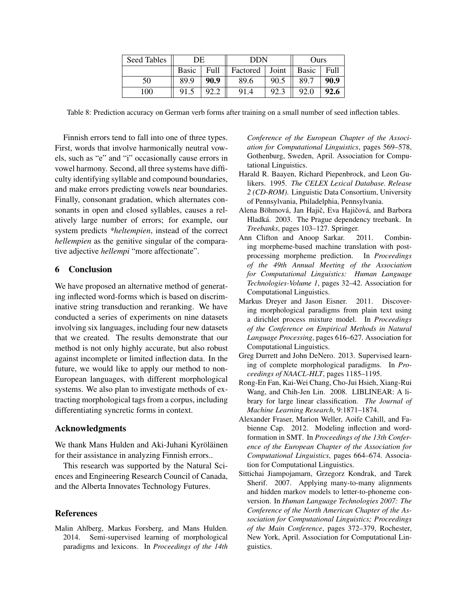| Seed Tables | DE    |      | DDN      |       | Ours         |      |
|-------------|-------|------|----------|-------|--------------|------|
|             | Basic | Full | Factored | Joint | <b>Basic</b> | Full |
| 50          | 89.9  | 90.9 | 89.6     | 90.5  | 89.7         | 90.9 |
| 100         | 91.5  | 92.2 | 91.4     |       | 92.0         | 92.6 |

Table 8: Prediction accuracy on German verb forms after training on a small number of seed inflection tables.

Finnish errors tend to fall into one of three types. First, words that involve harmonically neutral vowels, such as "e" and "i" occasionally cause errors in vowel harmony. Second, all three systems have difficulty identifying syllable and compound boundaries, and make errors predicting vowels near boundaries. Finally, consonant gradation, which alternates consonants in open and closed syllables, causes a relatively large number of errors; for example, our system predicts *\*heltempien*, instead of the correct *hellempien* as the genitive singular of the comparative adjective *hellempi* "more affectionate".

## 6 Conclusion

We have proposed an alternative method of generating inflected word-forms which is based on discriminative string transduction and reranking. We have conducted a series of experiments on nine datasets involving six languages, including four new datasets that we created. The results demonstrate that our method is not only highly accurate, but also robust against incomplete or limited inflection data. In the future, we would like to apply our method to non-European languages, with different morphological systems. We also plan to investigate methods of extracting morphological tags from a corpus, including differentiating syncretic forms in context.

## Acknowledgments

We thank Mans Hulden and Aki-Juhani Kyröläinen for their assistance in analyzing Finnish errors..

This research was supported by the Natural Sciences and Engineering Research Council of Canada, and the Alberta Innovates Technology Futures.

## References

Malin Ahlberg, Markus Forsberg, and Mans Hulden. 2014. Semi-supervised learning of morphological paradigms and lexicons. In *Proceedings of the 14th* *Conference of the European Chapter of the Association for Computational Linguistics*, pages 569–578, Gothenburg, Sweden, April. Association for Computational Linguistics.

- Harald R. Baayen, Richard Piepenbrock, and Leon Gulikers. 1995. *The CELEX Lexical Database. Release 2 (CD-ROM)*. Linguistic Data Consortium, University of Pennsylvania, Philadelphia, Pennsylvania.
- Alena Böhmová, Jan Hajič, Eva Hajičová, and Barbora Hladká. 2003. The Prague dependency treebank. In *Treebanks*, pages 103–127. Springer.
- Ann Clifton and Anoop Sarkar. 2011. Combining morpheme-based machine translation with postprocessing morpheme prediction. In *Proceedings of the 49th Annual Meeting of the Association for Computational Linguistics: Human Language Technologies-Volume 1*, pages 32–42. Association for Computational Linguistics.
- Markus Dreyer and Jason Eisner. 2011. Discovering morphological paradigms from plain text using a dirichlet process mixture model. In *Proceedings of the Conference on Empirical Methods in Natural Language Processing*, pages 616–627. Association for Computational Linguistics.
- Greg Durrett and John DeNero. 2013. Supervised learning of complete morphological paradigms. In *Proceedings of NAACL-HLT*, pages 1185–1195.
- Rong-En Fan, Kai-Wei Chang, Cho-Jui Hsieh, Xiang-Rui Wang, and Chih-Jen Lin. 2008. LIBLINEAR: A library for large linear classification. *The Journal of Machine Learning Research*, 9:1871–1874.
- Alexander Fraser, Marion Weller, Aoife Cahill, and Fabienne Cap. 2012. Modeling inflection and wordformation in SMT. In *Proceedings of the 13th Conference of the European Chapter of the Association for Computational Linguistics*, pages 664–674. Association for Computational Linguistics.
- Sittichai Jiampojamarn, Grzegorz Kondrak, and Tarek Sherif. 2007. Applying many-to-many alignments and hidden markov models to letter-to-phoneme conversion. In *Human Language Technologies 2007: The Conference of the North American Chapter of the Association for Computational Linguistics; Proceedings of the Main Conference*, pages 372–379, Rochester, New York, April. Association for Computational Linguistics.